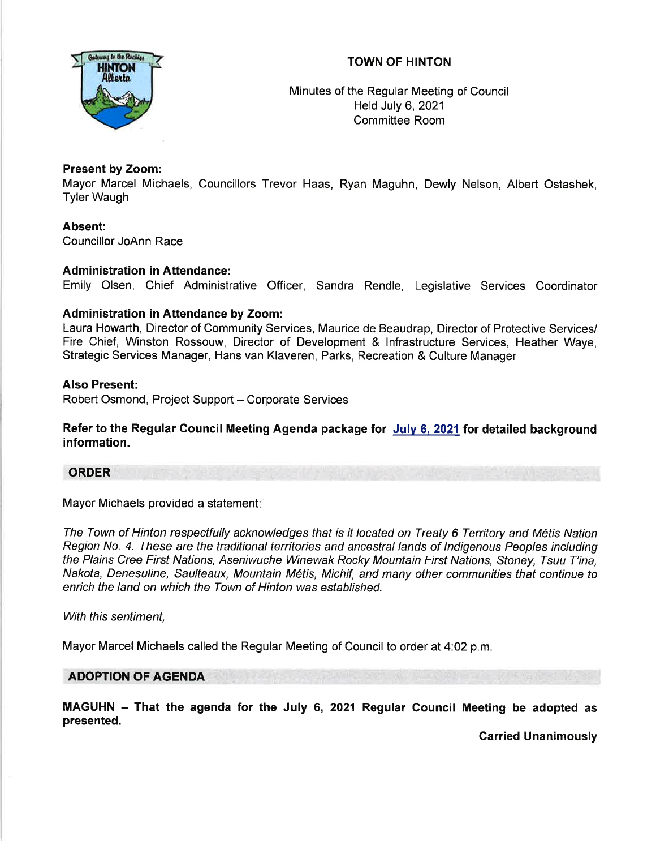# TOWN OF HINTON



Minutes of the Regular Meeting of Council Held July 6,2021 Committee Room

# Present by Zoom:

Mayor Marcel Michaels, Councillors Trevor Haas, Ryan Maguhn, Dewly Nelson, Albert Ostashek, Tyler Waugh

Absent: Councillor JoAnn Race

# Administration in Attendance:

Emily Olsen, Chief Administrative Officer, Sandra Rendle, Legislative Services Coordinator

# Administration in Attendance by Zoom:

Laura Howarth, Director of Community Services, Maurice de Beaudrap, Director of Protective Services/ Fire Chief, Winston Rossouw, Director of Development & lnfrastructure Services, Heather Waye, Strategic Services Manager, Hans van Klaveren, Parks, Recreation & Culture Manager

# Also Present:

Robert Osmond, Project Support - Corporate Services

Refer to the Regular Council Meeting Agenda package for July 6, 2021 for detailed background information.

# ORDER

Mayor Michaels provided a statement

The Town of Hinton respectfully acknowledges that is it located on Treaty 6 Territory and M6tis Nation Region No. 4. Ihese are the traditional territories and ancestral lands of lndigenous Peoples including the Plains Cree First Nations, Aseniwuche Winewak Rocky Mountain First Nations, Sfoney, Tsuu T'ina, Nakota, Denesuline, Saulteaux, Mountain Métis, Michif, and many other communities that continue to enrich the land on which the Town of Hinton was established.

With this sentiment,

Mayor Marcel Michaels called the Regular Meeting of Council to order at 4:02 p.m.

# ADOPTION OF AGENDA

MAGUHN - That the agenda for the July 6, 2021 Regular Council Meeting be adopted as presented.

Carried Unanimously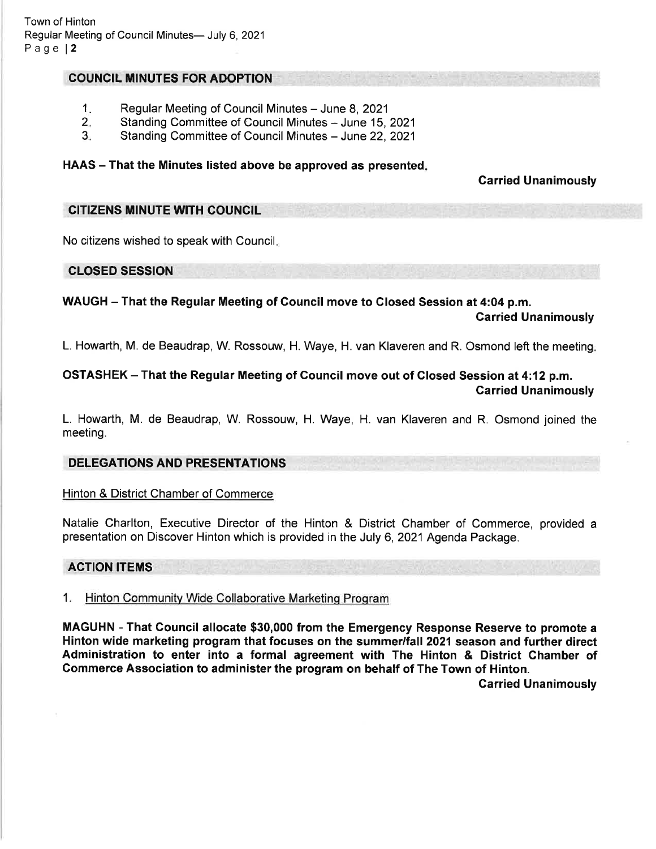## **COUNCIL MINUTES FOR ADOPTION**

- Regular Meeting of Council Minutes June 8, 2021 1.
- Standing Committee of Council Minutes June 15, 2021 2.
- Standing Committee of Council Minutes June 22, 2021 3.

## HAAS - That the Minutes listed above be approved as presented.

# Garried Unanimously

#### CITIZENS MINUTE WITH COUNCIL

No citizens wished to speak with Council

## CLOSED SESSION

WAUGH - That the Regular Meeting of Council move to Glosed Session at 4:04 p.m.

Garried Unanimously

L. Howarth, M. de Beaudrap, W. Rossouw, H. Waye, H. van Klaveren and R. Osmond left the meeting

# OSTASHEK - That the Regular Meeting of Council move out of Closed Session at 4:12 p.m. Garried Unanimously

L. Howarth, M. de Beaudrap, W. Rossouw, H. Waye, H. van Klaveren and R. Osmond joined the meeting.

# DELEGATIONS AND PRESENTATIONS

Hinton & District Chamber of Commerce

Natalie Charlton, Executive Director of the Hinton & District Chamber of Commerce, provided <sup>a</sup> presentation on Discover Hinton which is provided in the July 6, 2021 Agenda Package.

#### ACTION ITEMS

1. Hinton Communitv Wide Collaborative Marketinq Proqram

MAGUHN - That Council allocate \$30,000 from the Emergency Response Reserve to promote a Hinton wide marketing program that focuses on the summer/fall 2021 season and further direct Administration to enter into a formal agreement with The Hinton & District Ghamber of Gommerce Association to administer the program on behalf of The Town of Hinton. Carried Unanimously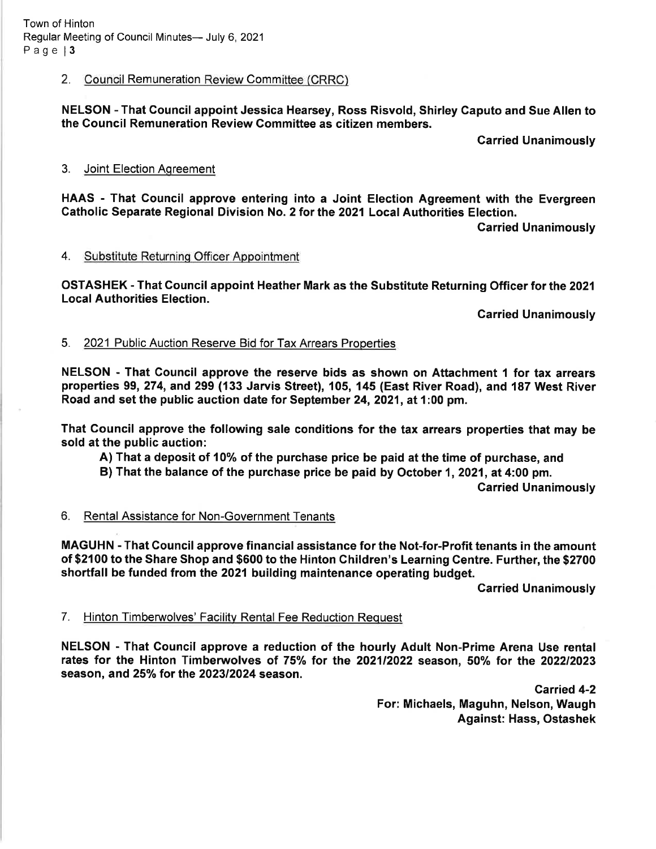## 2. Council Remuneration Review Committee (CRRC)

NELSON - That Council appoint Jessica Hearsey, Ross Risvold, Shirley Caputo and Sue Allen to the Council Remuneration Review Gommittee as citizen members.

Garried Unanimously

#### 3. Joint Election Aqreement

HAAS - That Gouncil approve entering into a Joint Election Agreement with the Evergreen Catholic Separate Regional Division No. 2 for the 2021 Local Authorities Election.

Garried Unanimously

#### 4. Substitute Returninq Officer Appointment

OSTASHEK - That Council appoint Heather Mark as the Substitute Returning Officer for the 2021 Local Authorities Election.

Garried Unanimously

## 5. 2021 Public Auction Reserve Bid for Tax Arrears Properties

NELSON - That Gouncil approve the reserve bids as shown on Attachment 1 for tax arrears properties 99,274, and 299 (133 Jarvis Street), 105, 145 (East River Road), and 187 West River Road and set the public auction date for September 24,2021, at 1:00 pm.

That Gouncil approve the following sale conditions for the tax arrears properties that may be sold at the public auction:

- A) That a deposit of 10% of the purchase price be paid at the time of purchase, and
- B) That the balance of the purchase price be paid by October 1, 2021, at 4:00 pm.

Garried Unanimously

# 6. Rental Assistance for Non-Government Tenants

MAGUHN - That Council approve financial assistance for the Not-for-Profit tenants in the amount of \$2100 to the Share Shop and \$600 to the Hinton Children's Learning Centre. Further, the \$2700 shortfall be funded from the 2021 building maintenance operating budget.

**Carried Unanimously** 

#### 7. Hinton Timberwolves' Facility Rental Fee Reduction Request

NELSON - That Gouncil approve a reduction of the hourly Adult Non-Prime Arena Use rental rates for the Hinton Timberwolves of 75% for the 2021/2022 season, 50% for the 2022/2023 season, and 25% for the 2023/2024 season.

> Carried 4-2 For: Michaels, Maguhn, Nelson, Waugh Against: Hass, Ostashek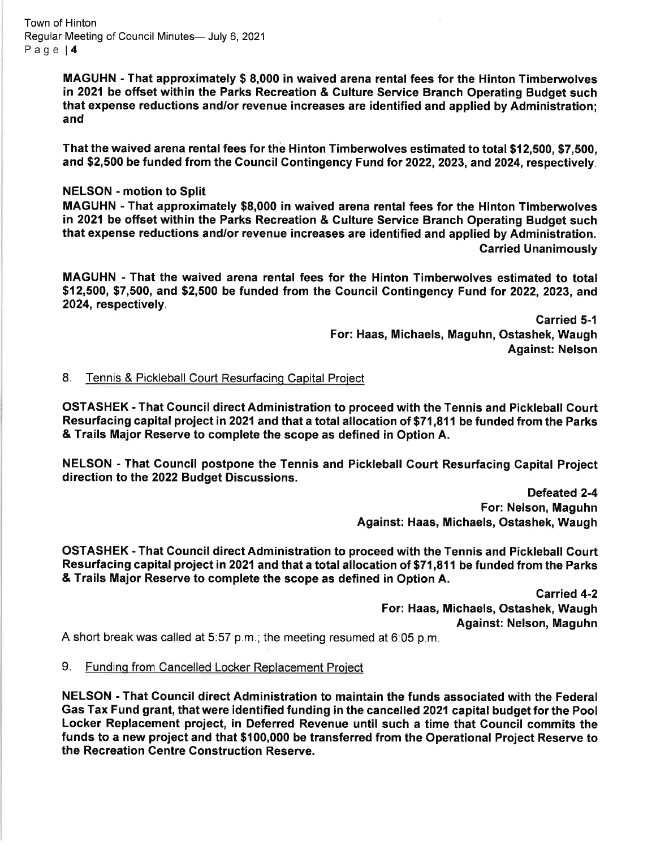Town of Hinton Regular Meeting of Council Minutes- July 6, 2021 Page | 4

> MAGUHN - That approximately \$ 8,000 in waived arena rental fees for the Hinton Timberwolves in 2021 be offset within the Parks Recreation & Gulture Service Branch Operating Budget such that expense reductions and/or revenue increases are identified and applied by Administration; and

> That the waived arena rental fees for the Hinton Timberwolves estimated to total \$12,500, \$7,500, and \$2,500 be funded from the Council Contingency Fund for 2022, 2023, and 2024, respectively.

#### NELSON - motion to Split

MAGUHN - That approximately \$8,000 in waived arena rental fees for the Hinton Timberuvolves in 2021 be offset within the Parks Recreation & Culture Service Branch Operating Budget such that expense reductions and/or revenue increases are identified and applied by Administration. Carried Unanimously

MAGUHN - That the waived arena rental fees for the Hinton Timberwolves estimated to total \$12,500, \$7,500, and \$2,500 be funded from the Council Contingency Fund for 2022, 2023, and 2024, respectively.

> Garried 5-1 For: Haas, Michaels, Maguhn, Ostashek, Waugh Against: Nelson

8. Tennis & Pickleball Court Resurfacing Capital Project

OSTASHEK - That Gouncil direct Administration to proceed with the Tennis and Pickleball Court Resurfacing capital project in 2021 and that a total allocation of \$71,811 be funded from the Parks & Trails Major Reserve to complete the scope as defined in Option A.

NELSON - That Gouncil postpone the Tennis and Pickleball Gourt Resurfacing Capital Project direction to the 2022 Budget Discussions.

> Defeated 2-4 For: Nelson, Maguhn Against: Haas, Michaels, Ostashek, Waugh

OSTASHEK - That Gouncil direct Administration to proceed with the Tennis and Pickleball Court Resurfacing capital project in 2021 and that a total allocation of \$71,811 be funded from the Parks & Trails Major Reserve to complete the scope as defined in Option A.

> Carried 4-2 For: Haas, Michaels, Ostashek, Waugh Against: Nelson, Maguhn

A short break was called at 5.57 p.m.; the meeting resumed at 6:05 p.m.

9. Fundinq from Cancelled Locker Replacement Proiect

NELSON - That Council direct Administration to maintain the funds associated with the Federal Gas Tax Fund grant, that were identified funding in the cancelled 2021 capital budget for the Pool Locker Replacement project, in Deferred Revenue until such a time that Gouncil commits the funds to a new project and that \$100,000 be transferred from the Operational Project Reserve to the Recreation Centre Gonstruction Reserve.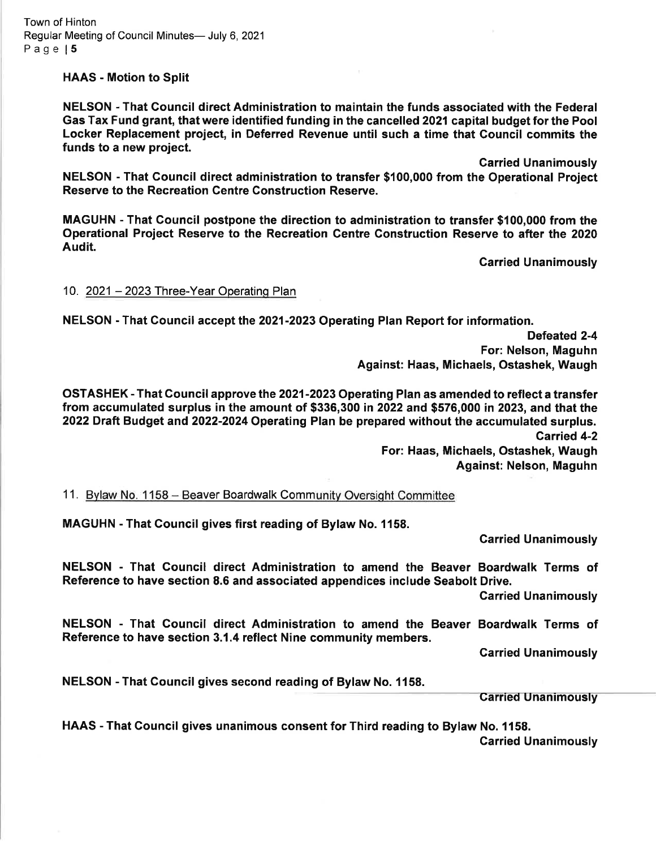HAAS - Motion to Split

NELSON - That Gouncil direct Administration to maintain the funds associated with the Federal Gas Tax Fund grant, that were identified funding in the cancelled 2021 capital budget for the Pool Locker Replacement project, in Deferred Revenue until such a time that Gouncil commits the funds to a new project.

Carried Unanimously

NELSON - That Gouncil direct administration to transfer \$100,000 from the Operational Project Reserve to the Recreation Centre Gonstruction Reserve.

MAGUHN - That Gouncil postpone the direction to administration to transfer \$100,000 from the Operational Project Reserve to the Recreation Gentre Gonstruction Reserve to after the 2020 Audit.

Garried Unanimously

10. 2021 - 2023 Three-Year Operating Plan

NELSON - That Gouncil accept the 2021-2023 Operating Plan Report for information.

Defeated 2-4 For: Nelson, Maguhn Against: Haas, Michaels, Ostashek, Waugh

OSTASHEK - That Gouncil approve the 2021-2023 Operating Plan as amended to reflect a transfer from accumulated surplus in the amount of \$336,300 in 2022 and \$576,000 in 2023, and that the 2022 Draft Budget and 2022-2024 Operating Plan be prepared without the accumulated surplus. Carried 4-2

For: Haas, Michaels, Ostashek, Waugh Against: Nelson, Maguhn

11. Bylaw No. 1158 - Beaver Boardwalk Community Oversight Committee

MAGUHN - That Council gives first reading of Bylaw No. 1158.

Garried Unanimously

NELSON - That Gouncil direct Administration to amend the Beaver Boardwalk Terms of Reference to have section 8.6 and associated appendices include Seabolt Drive.

Garried Unanimously

NELSON - That Council direct Administration to amend the Beaver Boardwalk Terms of Reference to have section 3.1.4 reflect Nine community members.

Garried Unanimously

NELSON - That Gouncil gives second reading of Bylaw No. 1158.

Garried Unanimously

HAAS - That Gouncil gives unanimous consent for Third reading to Bylaw No. 1158. Garried Unanimously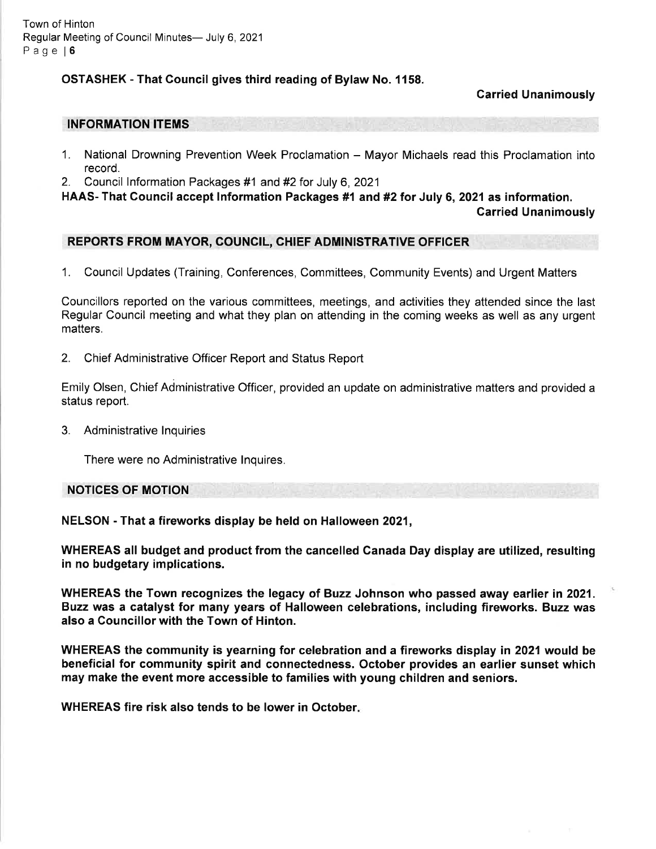## OSTASHEK - That Gouncil gives third reading of Bylaw No. 1158.

## Garried Unanimously

#### INFORMATION ITEMS

- 1. National Drowning Prevention Week Proclamation Mayor Michaels read this Proclamation into record.
- 2. Council Information Packages #1 and #2 for July 6, 2021

HAAS- That Council accept Information Packages #1 and #2 for July 6, 2021 as information.

Carried Unanimously

## REPORTS FROM MAYOR, COUNCIL, CHIEF ADMINISTRATIVE OFFICER

1. Council Updates (Training, Conferences, Committees, Community Events) and Urgent Matters

Councillors reported on the various committees, meetings, and activities they attended since the last Regular Council meeting and what they plan on attending in the coming weeks as well as any urgent matters.

2. Chief Administrative Officer Report and Status Report

Emily Olsen, Chief Administrative Officer, provided an update on administrative matters and provided a status report.

3. Administrative lnquiries

There were no Administrative lnquires.

NOTICES OF MOTION

NELSON - That a fireworks display be held on Halloween 2021,

WHEREAS all budget and product from the cancelled Ganada Day display are utilized, resulting in no budgetary implications.

WHEREAS the Town recognizes the legacy of Buzz Johnson who passed away earlier in 2021. Buzz was a catalyst for many years of Halloween celebrations, including fireworks. Buzz was also a Gouncillor with the Town of Hinton.

WHEREAS the community is yearning for celebration and a fireworks display in 2021 would be beneficial for community spirit and connectedness. October provides an earlier sunset which may make the event more accessible to families with young children and seniors.

WHEREAS fire risk also tends to be lower in October